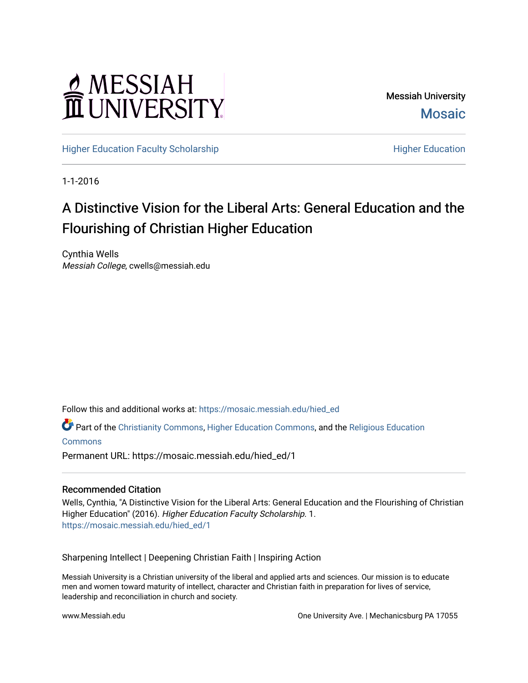# MESSIAH<br>II UNIVERSITY

Messiah University **Mosaic** 

[Higher Education Faculty Scholarship](https://mosaic.messiah.edu/hied_ed) **Higher Education** Higher Education

1-1-2016

## A Distinctive Vision for the Liberal Arts: General Education and the Flourishing of Christian Higher Education

Cynthia Wells Messiah College, cwells@messiah.edu

Follow this and additional works at: [https://mosaic.messiah.edu/hied\\_ed](https://mosaic.messiah.edu/hied_ed?utm_source=mosaic.messiah.edu%2Fhied_ed%2F1&utm_medium=PDF&utm_campaign=PDFCoverPages) 

Part of the [Christianity Commons,](http://network.bepress.com/hgg/discipline/1181?utm_source=mosaic.messiah.edu%2Fhied_ed%2F1&utm_medium=PDF&utm_campaign=PDFCoverPages) [Higher Education Commons](http://network.bepress.com/hgg/discipline/1245?utm_source=mosaic.messiah.edu%2Fhied_ed%2F1&utm_medium=PDF&utm_campaign=PDFCoverPages), and the [Religious Education](http://network.bepress.com/hgg/discipline/1414?utm_source=mosaic.messiah.edu%2Fhied_ed%2F1&utm_medium=PDF&utm_campaign=PDFCoverPages) 

#### **[Commons](http://network.bepress.com/hgg/discipline/1414?utm_source=mosaic.messiah.edu%2Fhied_ed%2F1&utm_medium=PDF&utm_campaign=PDFCoverPages)**

Permanent URL: https://mosaic.messiah.edu/hied\_ed/1

#### Recommended Citation

Wells, Cynthia, "A Distinctive Vision for the Liberal Arts: General Education and the Flourishing of Christian Higher Education" (2016). Higher Education Faculty Scholarship. 1. [https://mosaic.messiah.edu/hied\\_ed/1](https://mosaic.messiah.edu/hied_ed/1?utm_source=mosaic.messiah.edu%2Fhied_ed%2F1&utm_medium=PDF&utm_campaign=PDFCoverPages) 

Sharpening Intellect | Deepening Christian Faith | Inspiring Action

Messiah University is a Christian university of the liberal and applied arts and sciences. Our mission is to educate men and women toward maturity of intellect, character and Christian faith in preparation for lives of service, leadership and reconciliation in church and society.

www.Messiah.edu One University Ave. | Mechanicsburg PA 17055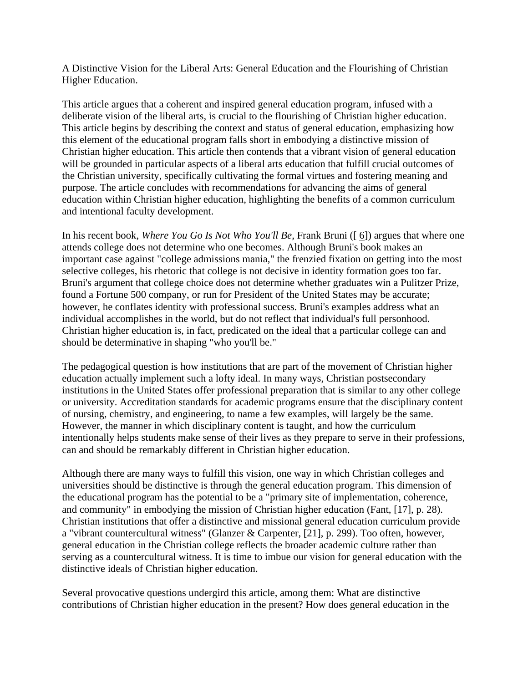A Distinctive Vision for the Liberal Arts: General Education and the Flourishing of Christian Higher Education.

This article argues that a coherent and inspired general education program, infused with a deliberate vision of the liberal arts, is crucial to the flourishing of Christian higher education. This article begins by describing the context and status of general education, emphasizing how this element of the educational program falls short in embodying a distinctive mission of Christian higher education. This article then contends that a vibrant vision of general education will be grounded in particular aspects of a liberal arts education that fulfill crucial outcomes of the Christian university, specifically cultivating the formal virtues and fostering meaning and purpose. The article concludes with recommendations for advancing the aims of general education within Christian higher education, highlighting the benefits of a common curriculum and intentional faculty development.

In his recent book, *Where You Go Is Not Who You'll Be*, Frank Bruni ([ 6]) argues that where one attends college does not determine who one becomes. Although Bruni's book makes an important case against "college admissions mania," the frenzied fixation on getting into the most selective colleges, his rhetoric that college is not decisive in identity formation goes too far. Bruni's argument that college choice does not determine whether graduates win a Pulitzer Prize, found a Fortune 500 company, or run for President of the United States may be accurate; however, he conflates identity with professional success. Bruni's examples address what an individual accomplishes in the world, but do not reflect that individual's full personhood. Christian higher education is, in fact, predicated on the ideal that a particular college can and should be determinative in shaping "who you'll be."

The pedagogical question is how institutions that are part of the movement of Christian higher education actually implement such a lofty ideal. In many ways, Christian postsecondary institutions in the United States offer professional preparation that is similar to any other college or university. Accreditation standards for academic programs ensure that the disciplinary content of nursing, chemistry, and engineering, to name a few examples, will largely be the same. However, the manner in which disciplinary content is taught, and how the curriculum intentionally helps students make sense of their lives as they prepare to serve in their professions, can and should be remarkably different in Christian higher education.

Although there are many ways to fulfill this vision, one way in which Christian colleges and universities should be distinctive is through the general education program. This dimension of the educational program has the potential to be a "primary site of implementation, coherence, and community" in embodying the mission of Christian higher education (Fant, [17], p. 28). Christian institutions that offer a distinctive and missional general education curriculum provide a "vibrant countercultural witness" (Glanzer & Carpenter, [21], p. 299). Too often, however, general education in the Christian college reflects the broader academic culture rather than serving as a countercultural witness. It is time to imbue our vision for general education with the distinctive ideals of Christian higher education.

Several provocative questions undergird this article, among them: What are distinctive contributions of Christian higher education in the present? How does general education in the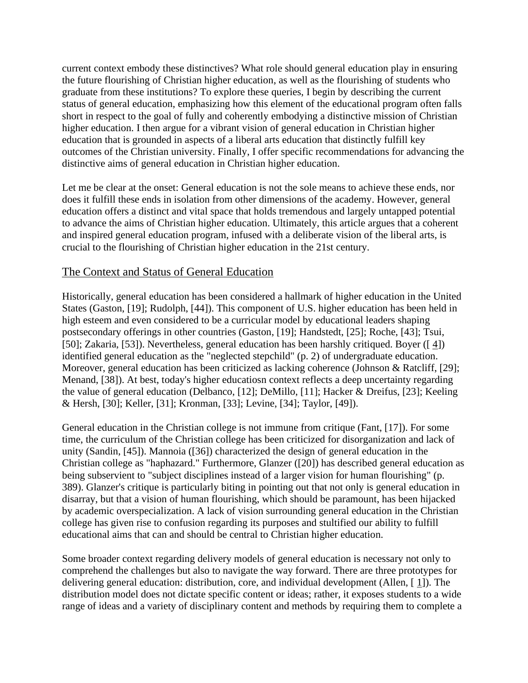current context embody these distinctives? What role should general education play in ensuring the future flourishing of Christian higher education, as well as the flourishing of students who graduate from these institutions? To explore these queries, I begin by describing the current status of general education, emphasizing how this element of the educational program often falls short in respect to the goal of fully and coherently embodying a distinctive mission of Christian higher education. I then argue for a vibrant vision of general education in Christian higher education that is grounded in aspects of a liberal arts education that distinctly fulfill key outcomes of the Christian university. Finally, I offer specific recommendations for advancing the distinctive aims of general education in Christian higher education.

Let me be clear at the onset: General education is not the sole means to achieve these ends, nor does it fulfill these ends in isolation from other dimensions of the academy. However, general education offers a distinct and vital space that holds tremendous and largely untapped potential to advance the aims of Christian higher education. Ultimately, this article argues that a coherent and inspired general education program, infused with a deliberate vision of the liberal arts, is crucial to the flourishing of Christian higher education in the 21st century.

#### The Context and Status of General Education

Historically, general education has been considered a hallmark of higher education in the United States (Gaston, [19]; Rudolph, [44]). This component of U.S. higher education has been held in high esteem and even considered to be a curricular model by educational leaders shaping postsecondary offerings in other countries (Gaston, [19]; Handstedt, [25]; Roche, [43]; Tsui, [50]; Zakaria, [53]). Nevertheless, general education has been harshly critiqued. Boyer ([ 4]) identified general education as the "neglected stepchild" (p. 2) of undergraduate education. Moreover, general education has been criticized as lacking coherence (Johnson & Ratcliff, [29]; Menand, [38]). At best, today's higher educatiosn context reflects a deep uncertainty regarding the value of general education (Delbanco, [12]; DeMillo, [11]; Hacker & Dreifus, [23]; Keeling & Hersh, [30]; Keller, [31]; Kronman, [33]; Levine, [34]; Taylor, [49]).

General education in the Christian college is not immune from critique (Fant, [17]). For some time, the curriculum of the Christian college has been criticized for disorganization and lack of unity (Sandin, [45]). Mannoia ([36]) characterized the design of general education in the Christian college as "haphazard." Furthermore, Glanzer ([20]) has described general education as being subservient to "subject disciplines instead of a larger vision for human flourishing" (p. 389). Glanzer's critique is particularly biting in pointing out that not only is general education in disarray, but that a vision of human flourishing, which should be paramount, has been hijacked by academic overspecialization. A lack of vision surrounding general education in the Christian college has given rise to confusion regarding its purposes and stultified our ability to fulfill educational aims that can and should be central to Christian higher education.

Some broader context regarding delivery models of general education is necessary not only to comprehend the challenges but also to navigate the way forward. There are three prototypes for delivering general education: distribution, core, and individual development (Allen, [ 1]). The distribution model does not dictate specific content or ideas; rather, it exposes students to a wide range of ideas and a variety of disciplinary content and methods by requiring them to complete a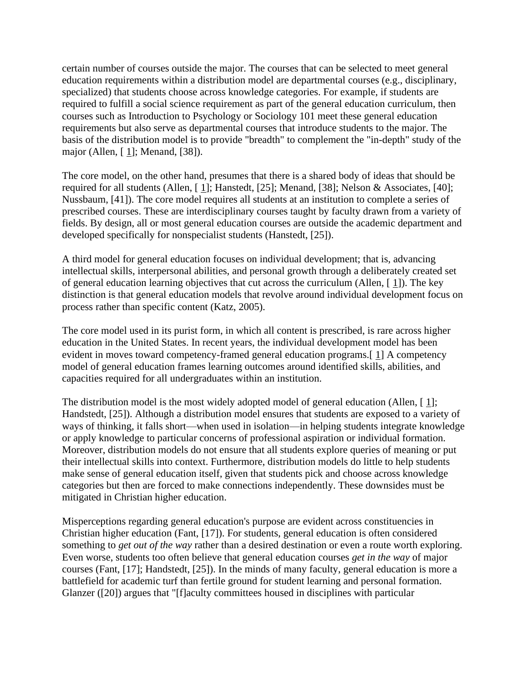certain number of courses outside the major. The courses that can be selected to meet general education requirements within a distribution model are departmental courses (e.g., disciplinary, specialized) that students choose across knowledge categories. For example, if students are required to fulfill a social science requirement as part of the general education curriculum, then courses such as Introduction to Psychology or Sociology 101 meet these general education requirements but also serve as departmental courses that introduce students to the major. The basis of the distribution model is to provide "breadth" to complement the "in-depth" study of the major (Allen, [ 1]; Menand, [38]).

The core model, on the other hand, presumes that there is a shared body of ideas that should be required for all students (Allen, [ 1]; Hanstedt, [25]; Menand, [38]; Nelson & Associates, [40]; Nussbaum, [41]). The core model requires all students at an institution to complete a series of prescribed courses. These are interdisciplinary courses taught by faculty drawn from a variety of fields. By design, all or most general education courses are outside the academic department and developed specifically for nonspecialist students (Hanstedt, [25]).

A third model for general education focuses on individual development; that is, advancing intellectual skills, interpersonal abilities, and personal growth through a deliberately created set of general education learning objectives that cut across the curriculum (Allen, [ 1]). The key distinction is that general education models that revolve around individual development focus on process rather than specific content (Katz, 2005).

The core model used in its purist form, in which all content is prescribed, is rare across higher education in the United States. In recent years, the individual development model has been evident in moves toward competency-framed general education programs.[ 1] A competency model of general education frames learning outcomes around identified skills, abilities, and capacities required for all undergraduates within an institution.

The distribution model is the most widely adopted model of general education (Allen, [ 1]; Handstedt, [25]). Although a distribution model ensures that students are exposed to a variety of ways of thinking, it falls short—when used in isolation—in helping students integrate knowledge or apply knowledge to particular concerns of professional aspiration or individual formation. Moreover, distribution models do not ensure that all students explore queries of meaning or put their intellectual skills into context. Furthermore, distribution models do little to help students make sense of general education itself, given that students pick and choose across knowledge categories but then are forced to make connections independently. These downsides must be mitigated in Christian higher education.

Misperceptions regarding general education's purpose are evident across constituencies in Christian higher education (Fant, [17]). For students, general education is often considered something to *get out of the way* rather than a desired destination or even a route worth exploring. Even worse, students too often believe that general education courses *get in the way* of major courses (Fant, [17]; Handstedt, [25]). In the minds of many faculty, general education is more a battlefield for academic turf than fertile ground for student learning and personal formation. Glanzer ([20]) argues that "[f]aculty committees housed in disciplines with particular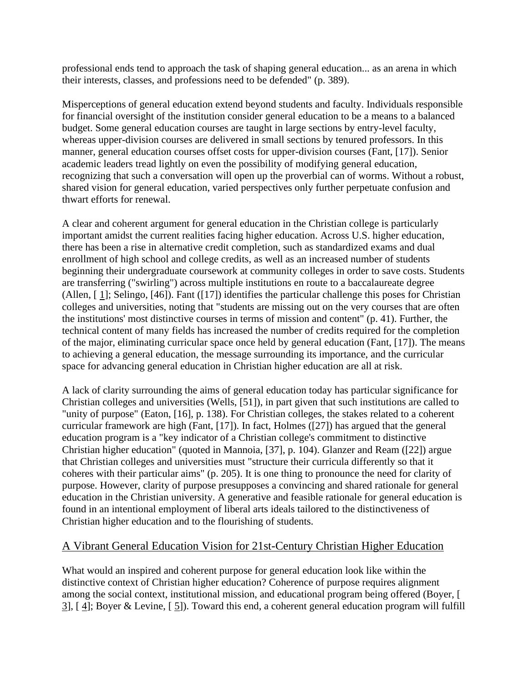professional ends tend to approach the task of shaping general education... as an arena in which their interests, classes, and professions need to be defended" (p. 389).

Misperceptions of general education extend beyond students and faculty. Individuals responsible for financial oversight of the institution consider general education to be a means to a balanced budget. Some general education courses are taught in large sections by entry-level faculty, whereas upper-division courses are delivered in small sections by tenured professors. In this manner, general education courses offset costs for upper-division courses (Fant, [17]). Senior academic leaders tread lightly on even the possibility of modifying general education, recognizing that such a conversation will open up the proverbial can of worms. Without a robust, shared vision for general education, varied perspectives only further perpetuate confusion and thwart efforts for renewal.

A clear and coherent argument for general education in the Christian college is particularly important amidst the current realities facing higher education. Across U.S. higher education, there has been a rise in alternative credit completion, such as standardized exams and dual enrollment of high school and college credits, as well as an increased number of students beginning their undergraduate coursework at community colleges in order to save costs. Students are transferring ("swirling") across multiple institutions en route to a baccalaureate degree (Allen, [ 1]; Selingo, [46]). Fant ([17]) identifies the particular challenge this poses for Christian colleges and universities, noting that "students are missing out on the very courses that are often the institutions' most distinctive courses in terms of mission and content" (p. 41). Further, the technical content of many fields has increased the number of credits required for the completion of the major, eliminating curricular space once held by general education (Fant, [17]). The means to achieving a general education, the message surrounding its importance, and the curricular space for advancing general education in Christian higher education are all at risk.

A lack of clarity surrounding the aims of general education today has particular significance for Christian colleges and universities (Wells, [51]), in part given that such institutions are called to "unity of purpose" (Eaton, [16], p. 138). For Christian colleges, the stakes related to a coherent curricular framework are high (Fant, [17]). In fact, Holmes ([27]) has argued that the general education program is a "key indicator of a Christian college's commitment to distinctive Christian higher education" (quoted in Mannoia, [37], p. 104). Glanzer and Ream ([22]) argue that Christian colleges and universities must "structure their curricula differently so that it coheres with their particular aims" (p. 205). It is one thing to pronounce the need for clarity of purpose. However, clarity of purpose presupposes a convincing and shared rationale for general education in the Christian university. A generative and feasible rationale for general education is found in an intentional employment of liberal arts ideals tailored to the distinctiveness of Christian higher education and to the flourishing of students.

#### A Vibrant General Education Vision for 21st-Century Christian Higher Education

What would an inspired and coherent purpose for general education look like within the distinctive context of Christian higher education? Coherence of purpose requires alignment among the social context, institutional mission, and educational program being offered (Boyer, [ 3], [ 4]; Boyer & Levine, [ 5]). Toward this end, a coherent general education program will fulfill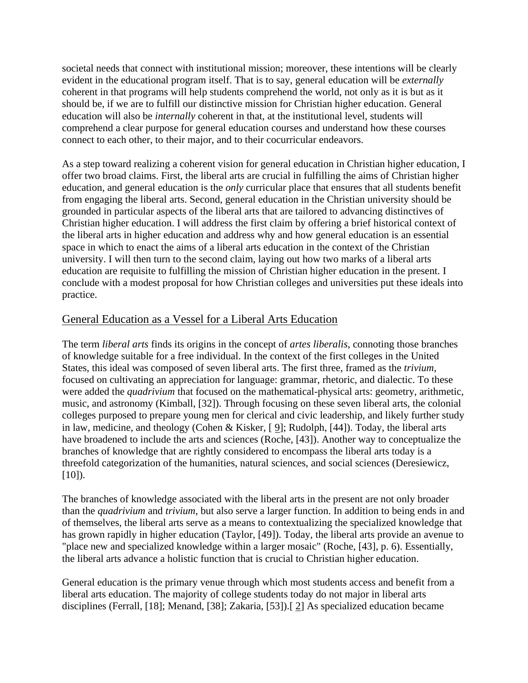societal needs that connect with institutional mission; moreover, these intentions will be clearly evident in the educational program itself. That is to say, general education will be *externally* coherent in that programs will help students comprehend the world, not only as it is but as it should be, if we are to fulfill our distinctive mission for Christian higher education. General education will also be *internally* coherent in that, at the institutional level, students will comprehend a clear purpose for general education courses and understand how these courses connect to each other, to their major, and to their cocurricular endeavors.

As a step toward realizing a coherent vision for general education in Christian higher education, I offer two broad claims. First, the liberal arts are crucial in fulfilling the aims of Christian higher education, and general education is the *only* curricular place that ensures that all students benefit from engaging the liberal arts. Second, general education in the Christian university should be grounded in particular aspects of the liberal arts that are tailored to advancing distinctives of Christian higher education. I will address the first claim by offering a brief historical context of the liberal arts in higher education and address why and how general education is an essential space in which to enact the aims of a liberal arts education in the context of the Christian university. I will then turn to the second claim, laying out how two marks of a liberal arts education are requisite to fulfilling the mission of Christian higher education in the present. I conclude with a modest proposal for how Christian colleges and universities put these ideals into practice.

#### General Education as a Vessel for a Liberal Arts Education

The term *liberal arts* finds its origins in the concept of *artes liberalis*, connoting those branches of knowledge suitable for a free individual. In the context of the first colleges in the United States, this ideal was composed of seven liberal arts. The first three, framed as the *trivium*, focused on cultivating an appreciation for language: grammar, rhetoric, and dialectic. To these were added the *quadrivium* that focused on the mathematical-physical arts: geometry, arithmetic, music, and astronomy (Kimball, [32]). Through focusing on these seven liberal arts, the colonial colleges purposed to prepare young men for clerical and civic leadership, and likely further study in law, medicine, and theology (Cohen & Kisker,  $[9]$ ; Rudolph,  $[44]$ ). Today, the liberal arts have broadened to include the arts and sciences (Roche, [43]). Another way to conceptualize the branches of knowledge that are rightly considered to encompass the liberal arts today is a threefold categorization of the humanities, natural sciences, and social sciences (Deresiewicz,  $[10]$ ).

The branches of knowledge associated with the liberal arts in the present are not only broader than the *quadrivium* and *trivium*, but also serve a larger function. In addition to being ends in and of themselves, the liberal arts serve as a means to contextualizing the specialized knowledge that has grown rapidly in higher education (Taylor, [49]). Today, the liberal arts provide an avenue to "place new and specialized knowledge within a larger mosaic" (Roche, [43], p. 6). Essentially, the liberal arts advance a holistic function that is crucial to Christian higher education.

General education is the primary venue through which most students access and benefit from a liberal arts education. The majority of college students today do not major in liberal arts disciplines (Ferrall, [18]; Menand, [38]; Zakaria, [53]).[ 2] As specialized education became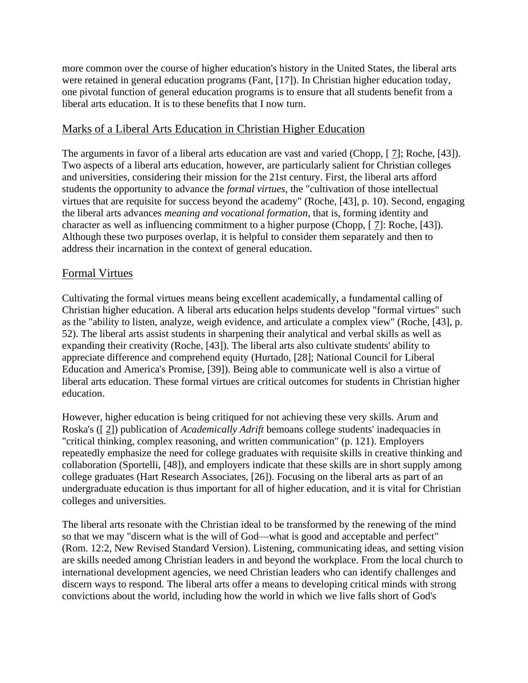more common over the course of higher education's history in the United States, the liberal arts were retained in general education programs (Fant, [17]). In Christian higher education today, one pivotal function of general education programs is to ensure that all students benefit from a liberal arts education. It is to these benefits that I now turn.

#### Marks of a Liberal Arts Education in Christian Higher Education

The arguments in favor of a liberal arts education are vast and varied (Chopp, [ 7]; Roche, [43]). Two aspects of a liberal arts education, however, are particularly salient for Christian colleges and universities, considering their mission for the 21st century. First, the liberal arts afford students the opportunity to advance the *formal virtues*, the "cultivation of those intellectual virtues that are requisite for success beyond the academy" (Roche, [43], p. 10). Second, engaging the liberal arts advances *meaning and vocational formation*, that is, forming identity and character as well as influencing commitment to a higher purpose (Chopp, [ 7]: Roche, [43]). Although these two purposes overlap, it is helpful to consider them separately and then to address their incarnation in the context of general education.

#### Formal Virtues

Cultivating the formal virtues means being excellent academically, a fundamental calling of Christian higher education. A liberal arts education helps students develop "formal virtues" such as the "ability to listen, analyze, weigh evidence, and articulate a complex view" (Roche, [43], p. 52). The liberal arts assist students in sharpening their analytical and verbal skills as well as expanding their creativity (Roche, [43]). The liberal arts also cultivate students' ability to appreciate difference and comprehend equity (Hurtado, [28]; National Council for Liberal Education and America's Promise, [39]). Being able to communicate well is also a virtue of liberal arts education. These formal virtues are critical outcomes for students in Christian higher education.

However, higher education is being critiqued for not achieving these very skills. Arum and Roska's ([ 2]) publication of *Academically Adrift* bemoans college students' inadequacies in "critical thinking, complex reasoning, and written communication" (p. 121). Employers repeatedly emphasize the need for college graduates with requisite skills in creative thinking and collaboration (Sportelli, [48]), and employers indicate that these skills are in short supply among college graduates (Hart Research Associates, [26]). Focusing on the liberal arts as part of an undergraduate education is thus important for all of higher education, and it is vital for Christian colleges and universities.

The liberal arts resonate with the Christian ideal to be transformed by the renewing of the mind so that we may "discern what is the will of God—what is good and acceptable and perfect" (Rom. 12:2, New Revised Standard Version). Listening, communicating ideas, and setting vision are skills needed among Christian leaders in and beyond the workplace. From the local church to international development agencies, we need Christian leaders who can identify challenges and discern ways to respond. The liberal arts offer a means to developing critical minds with strong convictions about the world, including how the world in which we live falls short of God's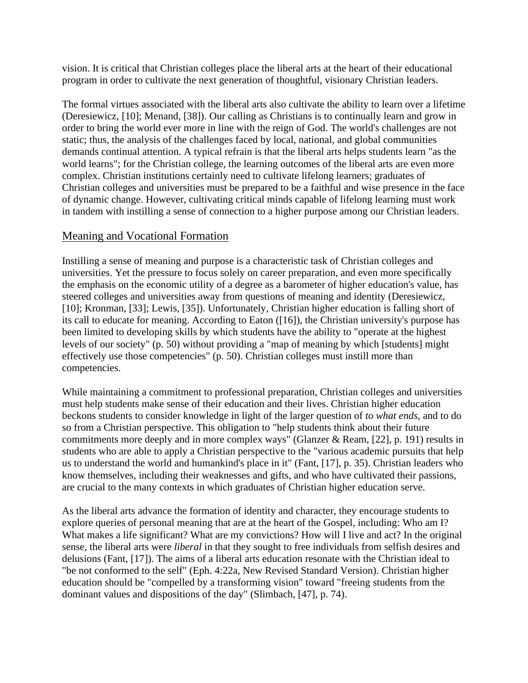vision. It is critical that Christian colleges place the liberal arts at the heart of their educational program in order to cultivate the next generation of thoughtful, visionary Christian leaders.

The formal virtues associated with the liberal arts also cultivate the ability to learn over a lifetime (Deresiewicz, [10]; Menand, [38]). Our calling as Christians is to continually learn and grow in order to bring the world ever more in line with the reign of God. The world's challenges are not static; thus, the analysis of the challenges faced by local, national, and global communities demands continual attention. A typical refrain is that the liberal arts helps students learn "as the world learns"; for the Christian college, the learning outcomes of the liberal arts are even more complex. Christian institutions certainly need to cultivate lifelong learners; graduates of Christian colleges and universities must be prepared to be a faithful and wise presence in the face of dynamic change. However, cultivating critical minds capable of lifelong learning must work in tandem with instilling a sense of connection to a higher purpose among our Christian leaders.

#### Meaning and Vocational Formation

Instilling a sense of meaning and purpose is a characteristic task of Christian colleges and universities. Yet the pressure to focus solely on career preparation, and even more specifically the emphasis on the economic utility of a degree as a barometer of higher education's value, has steered colleges and universities away from questions of meaning and identity (Deresiewicz, [10]; Kronman, [33]; Lewis, [35]). Unfortunately, Christian higher education is falling short of its call to educate for meaning. According to Eaton ([16]), the Christian university's purpose has been limited to developing skills by which students have the ability to "operate at the highest levels of our society" (p. 50) without providing a "map of meaning by which [students] might effectively use those competencies" (p. 50). Christian colleges must instill more than competencies.

While maintaining a commitment to professional preparation, Christian colleges and universities must help students make sense of their education and their lives. Christian higher education beckons students to consider knowledge in light of the larger question of *to what ends*, and to do so from a Christian perspective. This obligation to "help students think about their future commitments more deeply and in more complex ways" (Glanzer & Ream, [22], p. 191) results in students who are able to apply a Christian perspective to the "various academic pursuits that help us to understand the world and humankind's place in it" (Fant, [17], p. 35). Christian leaders who know themselves, including their weaknesses and gifts, and who have cultivated their passions, are crucial to the many contexts in which graduates of Christian higher education serve.

As the liberal arts advance the formation of identity and character, they encourage students to explore queries of personal meaning that are at the heart of the Gospel, including: Who am I? What makes a life significant? What are my convictions? How will I live and act? In the original sense, the liberal arts were *liberal* in that they sought to free individuals from selfish desires and delusions (Fant, [17]). The aims of a liberal arts education resonate with the Christian ideal to "be not conformed to the self" (Eph. 4:22a, New Revised Standard Version). Christian higher education should be "compelled by a transforming vision" toward "freeing students from the dominant values and dispositions of the day" (Slimbach, [47], p. 74).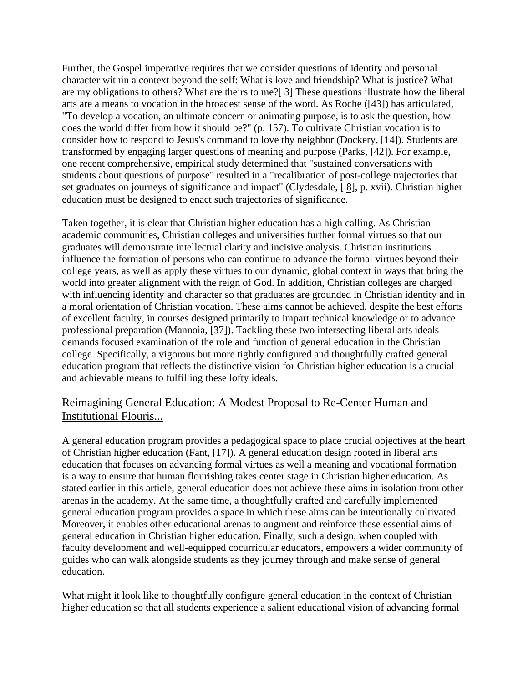Further, the Gospel imperative requires that we consider questions of identity and personal character within a context beyond the self: What is love and friendship? What is justice? What are my obligations to others? What are theirs to me?[ 3] These questions illustrate how the liberal arts are a means to vocation in the broadest sense of the word. As Roche ([43]) has articulated, "To develop a vocation, an ultimate concern or animating purpose, is to ask the question, how does the world differ from how it should be?" (p. 157). To cultivate Christian vocation is to consider how to respond to Jesus's command to love thy neighbor (Dockery, [14]). Students are transformed by engaging larger questions of meaning and purpose (Parks, [42]). For example, one recent comprehensive, empirical study determined that "sustained conversations with students about questions of purpose" resulted in a "recalibration of post-college trajectories that set graduates on journeys of significance and impact" (Clydesdale,  $[8]$ , p. xvii). Christian higher education must be designed to enact such trajectories of significance.

Taken together, it is clear that Christian higher education has a high calling. As Christian academic communities, Christian colleges and universities further formal virtues so that our graduates will demonstrate intellectual clarity and incisive analysis. Christian institutions influence the formation of persons who can continue to advance the formal virtues beyond their college years, as well as apply these virtues to our dynamic, global context in ways that bring the world into greater alignment with the reign of God. In addition, Christian colleges are charged with influencing identity and character so that graduates are grounded in Christian identity and in a moral orientation of Christian vocation. These aims cannot be achieved, despite the best efforts of excellent faculty, in courses designed primarily to impart technical knowledge or to advance professional preparation (Mannoia, [37]). Tackling these two intersecting liberal arts ideals demands focused examination of the role and function of general education in the Christian college. Specifically, a vigorous but more tightly configured and thoughtfully crafted general education program that reflects the distinctive vision for Christian higher education is a crucial and achievable means to fulfilling these lofty ideals.

### Reimagining General Education: A Modest Proposal to Re-Center Human and Institutional Flouris...

A general education program provides a pedagogical space to place crucial objectives at the heart of Christian higher education (Fant, [17]). A general education design rooted in liberal arts education that focuses on advancing formal virtues as well a meaning and vocational formation is a way to ensure that human flourishing takes center stage in Christian higher education. As stated earlier in this article, general education does not achieve these aims in isolation from other arenas in the academy. At the same time, a thoughtfully crafted and carefully implemented general education program provides a space in which these aims can be intentionally cultivated. Moreover, it enables other educational arenas to augment and reinforce these essential aims of general education in Christian higher education. Finally, such a design, when coupled with faculty development and well-equipped cocurricular educators, empowers a wider community of guides who can walk alongside students as they journey through and make sense of general education.

What might it look like to thoughtfully configure general education in the context of Christian higher education so that all students experience a salient educational vision of advancing formal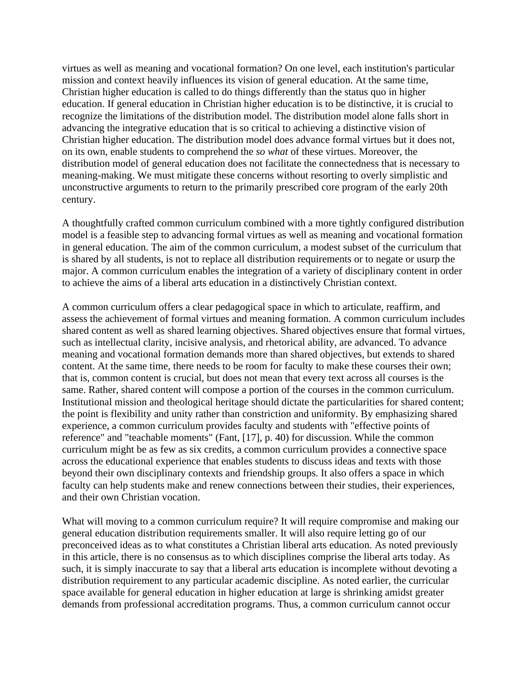virtues as well as meaning and vocational formation? On one level, each institution's particular mission and context heavily influences its vision of general education. At the same time, Christian higher education is called to do things differently than the status quo in higher education. If general education in Christian higher education is to be distinctive, it is crucial to recognize the limitations of the distribution model. The distribution model alone falls short in advancing the integrative education that is so critical to achieving a distinctive vision of Christian higher education. The distribution model does advance formal virtues but it does not, on its own, enable students to comprehend the *so what* of these virtues. Moreover, the distribution model of general education does not facilitate the connectedness that is necessary to meaning-making. We must mitigate these concerns without resorting to overly simplistic and unconstructive arguments to return to the primarily prescribed core program of the early 20th century.

A thoughtfully crafted common curriculum combined with a more tightly configured distribution model is a feasible step to advancing formal virtues as well as meaning and vocational formation in general education. The aim of the common curriculum, a modest subset of the curriculum that is shared by all students, is not to replace all distribution requirements or to negate or usurp the major. A common curriculum enables the integration of a variety of disciplinary content in order to achieve the aims of a liberal arts education in a distinctively Christian context.

A common curriculum offers a clear pedagogical space in which to articulate, reaffirm, and assess the achievement of formal virtues and meaning formation. A common curriculum includes shared content as well as shared learning objectives. Shared objectives ensure that formal virtues, such as intellectual clarity, incisive analysis, and rhetorical ability, are advanced. To advance meaning and vocational formation demands more than shared objectives, but extends to shared content. At the same time, there needs to be room for faculty to make these courses their own; that is, common content is crucial, but does not mean that every text across all courses is the same. Rather, shared content will compose a portion of the courses in the common curriculum. Institutional mission and theological heritage should dictate the particularities for shared content; the point is flexibility and unity rather than constriction and uniformity. By emphasizing shared experience, a common curriculum provides faculty and students with "effective points of reference" and "teachable moments" (Fant, [17], p. 40) for discussion. While the common curriculum might be as few as six credits, a common curriculum provides a connective space across the educational experience that enables students to discuss ideas and texts with those beyond their own disciplinary contexts and friendship groups. It also offers a space in which faculty can help students make and renew connections between their studies, their experiences, and their own Christian vocation.

What will moving to a common curriculum require? It will require compromise and making our general education distribution requirements smaller. It will also require letting go of our preconceived ideas as to what constitutes a Christian liberal arts education. As noted previously in this article, there is no consensus as to which disciplines comprise the liberal arts today. As such, it is simply inaccurate to say that a liberal arts education is incomplete without devoting a distribution requirement to any particular academic discipline. As noted earlier, the curricular space available for general education in higher education at large is shrinking amidst greater demands from professional accreditation programs. Thus, a common curriculum cannot occur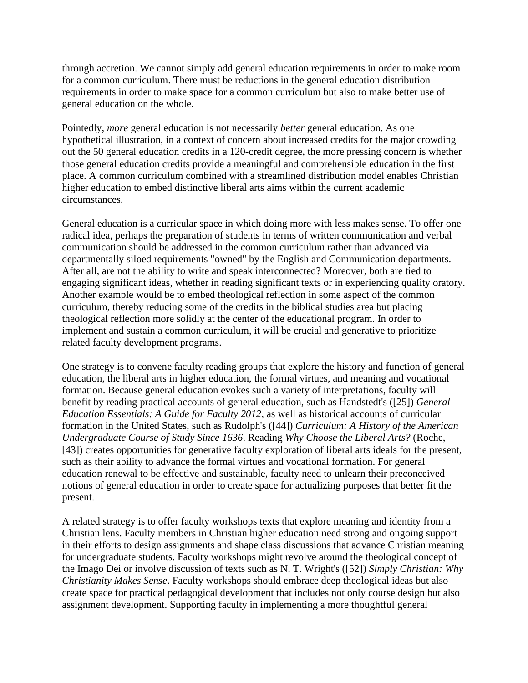through accretion. We cannot simply add general education requirements in order to make room for a common curriculum. There must be reductions in the general education distribution requirements in order to make space for a common curriculum but also to make better use of general education on the whole.

Pointedly, *more* general education is not necessarily *better* general education. As one hypothetical illustration, in a context of concern about increased credits for the major crowding out the 50 general education credits in a 120-credit degree, the more pressing concern is whether those general education credits provide a meaningful and comprehensible education in the first place. A common curriculum combined with a streamlined distribution model enables Christian higher education to embed distinctive liberal arts aims within the current academic circumstances.

General education is a curricular space in which doing more with less makes sense. To offer one radical idea, perhaps the preparation of students in terms of written communication and verbal communication should be addressed in the common curriculum rather than advanced via departmentally siloed requirements "owned" by the English and Communication departments. After all, are not the ability to write and speak interconnected? Moreover, both are tied to engaging significant ideas, whether in reading significant texts or in experiencing quality oratory. Another example would be to embed theological reflection in some aspect of the common curriculum, thereby reducing some of the credits in the biblical studies area but placing theological reflection more solidly at the center of the educational program. In order to implement and sustain a common curriculum, it will be crucial and generative to prioritize related faculty development programs.

One strategy is to convene faculty reading groups that explore the history and function of general education, the liberal arts in higher education, the formal virtues, and meaning and vocational formation. Because general education evokes such a variety of interpretations, faculty will benefit by reading practical accounts of general education, such as Handstedt's ([25]) *General Education Essentials: A Guide for Faculty 2012*, as well as historical accounts of curricular formation in the United States, such as Rudolph's ([44]) *Curriculum: A History of the American Undergraduate Course of Study Since 1636*. Reading *Why Choose the Liberal Arts?* (Roche, [43]) creates opportunities for generative faculty exploration of liberal arts ideals for the present, such as their ability to advance the formal virtues and vocational formation. For general education renewal to be effective and sustainable, faculty need to unlearn their preconceived notions of general education in order to create space for actualizing purposes that better fit the present.

A related strategy is to offer faculty workshops texts that explore meaning and identity from a Christian lens. Faculty members in Christian higher education need strong and ongoing support in their efforts to design assignments and shape class discussions that advance Christian meaning for undergraduate students. Faculty workshops might revolve around the theological concept of the Imago Dei or involve discussion of texts such as N. T. Wright's ([52]) *Simply Christian: Why Christianity Makes Sense*. Faculty workshops should embrace deep theological ideas but also create space for practical pedagogical development that includes not only course design but also assignment development. Supporting faculty in implementing a more thoughtful general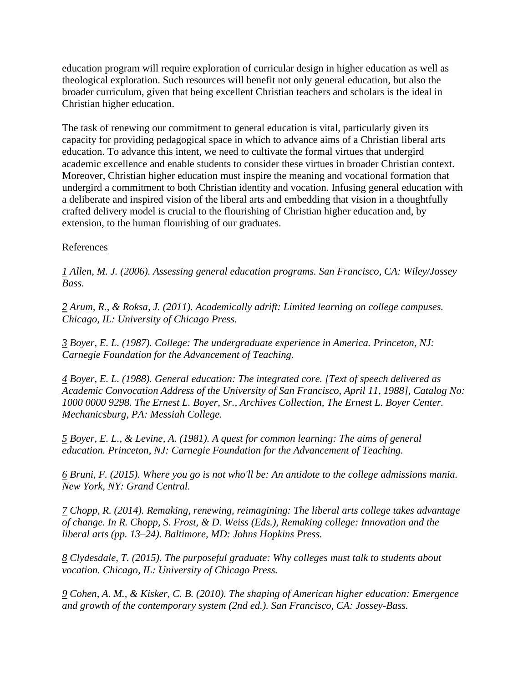education program will require exploration of curricular design in higher education as well as theological exploration. Such resources will benefit not only general education, but also the broader curriculum, given that being excellent Christian teachers and scholars is the ideal in Christian higher education.

The task of renewing our commitment to general education is vital, particularly given its capacity for providing pedagogical space in which to advance aims of a Christian liberal arts education. To advance this intent, we need to cultivate the formal virtues that undergird academic excellence and enable students to consider these virtues in broader Christian context. Moreover, Christian higher education must inspire the meaning and vocational formation that undergird a commitment to both Christian identity and vocation. Infusing general education with a deliberate and inspired vision of the liberal arts and embedding that vision in a thoughtfully crafted delivery model is crucial to the flourishing of Christian higher education and, by extension, to the human flourishing of our graduates.

#### References

*1 Allen, M. J. (2006). Assessing general education programs. San Francisco, CA: Wiley/Jossey Bass.*

*2 Arum, R., & Roksa, J. (2011). Academically adrift: Limited learning on college campuses. Chicago, IL: University of Chicago Press.*

*3 Boyer, E. L. (1987). College: The undergraduate experience in America. Princeton, NJ: Carnegie Foundation for the Advancement of Teaching.*

*4 Boyer, E. L. (1988). General education: The integrated core. [Text of speech delivered as Academic Convocation Address of the University of San Francisco, April 11, 1988], Catalog No: 1000 0000 9298. The Ernest L. Boyer, Sr., Archives Collection, The Ernest L. Boyer Center. Mechanicsburg, PA: Messiah College.*

*5 Boyer, E. L., & Levine, A. (1981). A quest for common learning: The aims of general education. Princeton, NJ: Carnegie Foundation for the Advancement of Teaching.*

*6 Bruni, F. (2015). Where you go is not who'll be: An antidote to the college admissions mania. New York, NY: Grand Central.*

*7 Chopp, R. (2014). Remaking, renewing, reimagining: The liberal arts college takes advantage of change. In R. Chopp, S. Frost, & D. Weiss (Eds.), Remaking college: Innovation and the liberal arts (pp. 13–24). Baltimore, MD: Johns Hopkins Press.*

*8 Clydesdale, T. (2015). The purposeful graduate: Why colleges must talk to students about vocation. Chicago, IL: University of Chicago Press.*

*9 Cohen, A. M., & Kisker, C. B. (2010). The shaping of American higher education: Emergence and growth of the contemporary system (2nd ed.). San Francisco, CA: Jossey-Bass.*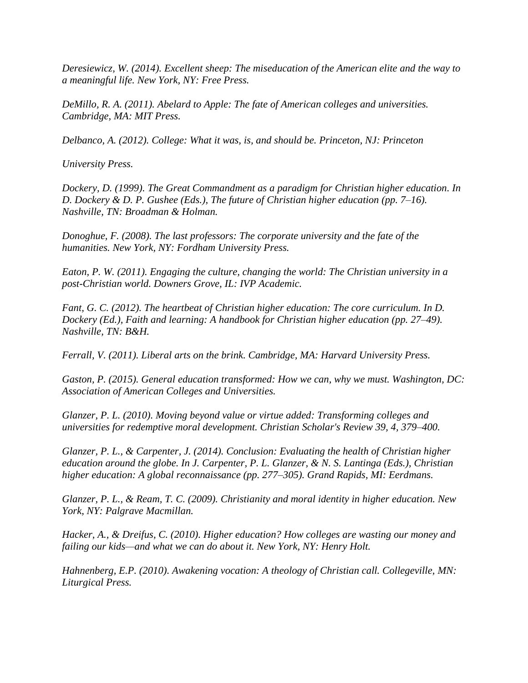*Deresiewicz, W. (2014). Excellent sheep: The miseducation of the American elite and the way to a meaningful life. New York, NY: Free Press.*

*DeMillo, R. A. (2011). Abelard to Apple: The fate of American colleges and universities. Cambridge, MA: MIT Press.*

*Delbanco, A. (2012). College: What it was, is, and should be. Princeton, NJ: Princeton*

*University Press.*

*Dockery, D. (1999). The Great Commandment as a paradigm for Christian higher education. In D. Dockery & D. P. Gushee (Eds.), The future of Christian higher education (pp. 7–16). Nashville, TN: Broadman & Holman.*

*Donoghue, F. (2008). The last professors: The corporate university and the fate of the humanities. New York, NY: Fordham University Press.*

*Eaton, P. W. (2011). Engaging the culture, changing the world: The Christian university in a post-Christian world. Downers Grove, IL: IVP Academic.*

*Fant, G. C. (2012). The heartbeat of Christian higher education: The core curriculum. In D. Dockery (Ed.), Faith and learning: A handbook for Christian higher education (pp. 27–49). Nashville, TN: B&H.*

*Ferrall, V. (2011). Liberal arts on the brink. Cambridge, MA: Harvard University Press.*

*Gaston, P. (2015). General education transformed: How we can, why we must. Washington, DC: Association of American Colleges and Universities.*

*Glanzer, P. L. (2010). Moving beyond value or virtue added: Transforming colleges and universities for redemptive moral development. Christian Scholar's Review 39, 4, 379–400.*

*Glanzer, P. L., & Carpenter, J. (2014). Conclusion: Evaluating the health of Christian higher education around the globe. In J. Carpenter, P. L. Glanzer, & N. S. Lantinga (Eds.), Christian higher education: A global reconnaissance (pp. 277–305). Grand Rapids, MI: Eerdmans.*

*Glanzer, P. L., & Ream, T. C. (2009). Christianity and moral identity in higher education. New York, NY: Palgrave Macmillan.*

*Hacker, A., & Dreifus, C. (2010). Higher education? How colleges are wasting our money and failing our kids—and what we can do about it. New York, NY: Henry Holt.*

*Hahnenberg, E.P. (2010). Awakening vocation: A theology of Christian call. Collegeville, MN: Liturgical Press.*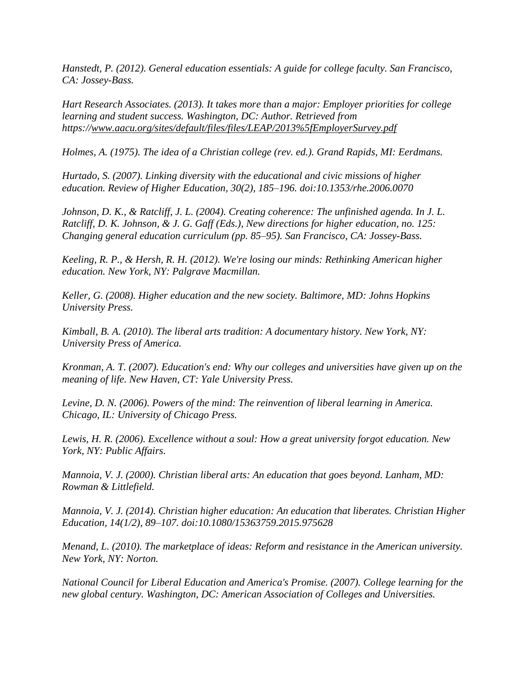*Hanstedt, P. (2012). General education essentials: A guide for college faculty. San Francisco, CA: Jossey-Bass.*

*Hart Research Associates. (2013). It takes more than a major: Employer priorities for college learning and student success. Washington, DC: Author. Retrieved from https://www.aacu.org/sites/default/files/files/LEAP/2013%5fEmployerSurvey.pdf*

*Holmes, A. (1975). The idea of a Christian college (rev. ed.). Grand Rapids, MI: Eerdmans.*

*Hurtado, S. (2007). Linking diversity with the educational and civic missions of higher education. Review of Higher Education, 30(2), 185–196. doi:10.1353/rhe.2006.0070*

*Johnson, D. K., & Ratcliff, J. L. (2004). Creating coherence: The unfinished agenda. In J. L. Ratcliff, D. K. Johnson, & J. G. Gaff (Eds.), New directions for higher education, no. 125: Changing general education curriculum (pp. 85–95). San Francisco, CA: Jossey-Bass.*

*Keeling, R. P., & Hersh, R. H. (2012). We're losing our minds: Rethinking American higher education. New York, NY: Palgrave Macmillan.*

*Keller, G. (2008). Higher education and the new society. Baltimore, MD: Johns Hopkins University Press.*

*Kimball, B. A. (2010). The liberal arts tradition: A documentary history. New York, NY: University Press of America.*

*Kronman, A. T. (2007). Education's end: Why our colleges and universities have given up on the meaning of life. New Haven, CT: Yale University Press.*

*Levine, D. N. (2006). Powers of the mind: The reinvention of liberal learning in America. Chicago, IL: University of Chicago Press.*

*Lewis, H. R. (2006). Excellence without a soul: How a great university forgot education. New York, NY: Public Affairs.*

*Mannoia, V. J. (2000). Christian liberal arts: An education that goes beyond. Lanham, MD: Rowman & Littlefield.*

*Mannoia, V. J. (2014). Christian higher education: An education that liberates. Christian Higher Education, 14(1/2), 89–107. doi:10.1080/15363759.2015.975628*

*Menand, L. (2010). The marketplace of ideas: Reform and resistance in the American university. New York, NY: Norton.*

*National Council for Liberal Education and America's Promise. (2007). College learning for the new global century. Washington, DC: American Association of Colleges and Universities.*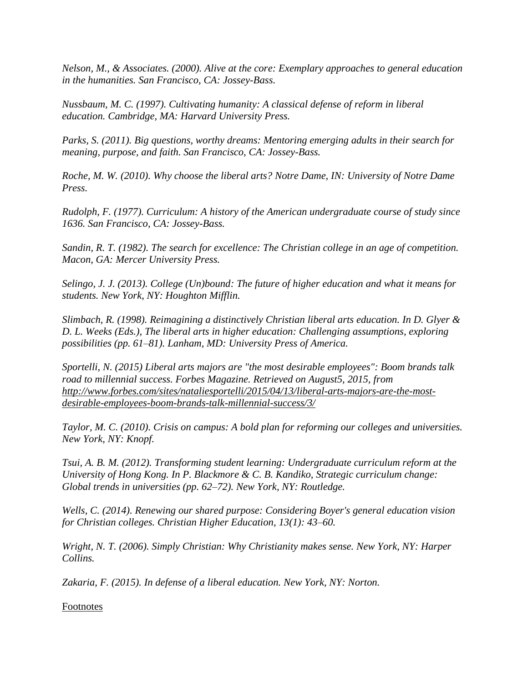*Nelson, M., & Associates. (2000). Alive at the core: Exemplary approaches to general education in the humanities. San Francisco, CA: Jossey-Bass.*

*Nussbaum, M. C. (1997). Cultivating humanity: A classical defense of reform in liberal education. Cambridge, MA: Harvard University Press.*

*Parks, S. (2011). Big questions, worthy dreams: Mentoring emerging adults in their search for meaning, purpose, and faith. San Francisco, CA: Jossey-Bass.*

*Roche, M. W. (2010). Why choose the liberal arts? Notre Dame, IN: University of Notre Dame Press.*

*Rudolph, F. (1977). Curriculum: A history of the American undergraduate course of study since 1636. San Francisco, CA: Jossey-Bass.*

*Sandin, R. T. (1982). The search for excellence: The Christian college in an age of competition. Macon, GA: Mercer University Press.*

*Selingo, J. J. (2013). College (Un)bound: The future of higher education and what it means for students. New York, NY: Houghton Mifflin.*

*Slimbach, R. (1998). Reimagining a distinctively Christian liberal arts education. In D. Glyer & D. L. Weeks (Eds.), The liberal arts in higher education: Challenging assumptions, exploring possibilities (pp. 61–81). Lanham, MD: University Press of America.*

*Sportelli, N. (2015) Liberal arts majors are "the most desirable employees": Boom brands talk road to millennial success. Forbes Magazine. Retrieved on August5, 2015, from http://www.forbes.com/sites/nataliesportelli/2015/04/13/liberal-arts-majors-are-the-mostdesirable-employees-boom-brands-talk-millennial-success/3/*

*Taylor, M. C. (2010). Crisis on campus: A bold plan for reforming our colleges and universities. New York, NY: Knopf.*

*Tsui, A. B. M. (2012). Transforming student learning: Undergraduate curriculum reform at the University of Hong Kong. In P. Blackmore & C. B. Kandiko, Strategic curriculum change: Global trends in universities (pp. 62–72). New York, NY: Routledge.*

*Wells, C. (2014). Renewing our shared purpose: Considering Boyer's general education vision for Christian colleges. Christian Higher Education, 13(1): 43–60.*

*Wright, N. T. (2006). Simply Christian: Why Christianity makes sense. New York, NY: Harper Collins.*

*Zakaria, F. (2015). In defense of a liberal education. New York, NY: Norton.*

**Footnotes**